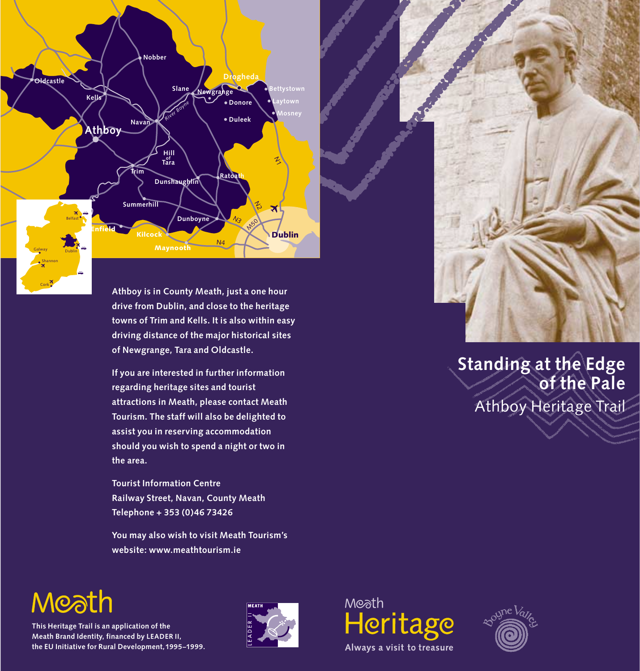**Hill Tara of M50**  $\gamma_{3}$ N2 ろ N4 **Drogheda Slane Navan Trim Oldcastle Kells Kells Ratoath Dunshaughlin Athboy Dunboyne** Maynooth Kilcock **Summerhill** Enfield **Nobber Donore Duleek Bettystown Laytown** Dublin *River Boyne* Belfast Dublin Galway Shannon

> **Athboy is in County Meath, just a one hour drive from Dublin, and close to the heritage towns of Trim and Kells. It is also within easy driving distance of the major historical sites of Newgrange, Tara and Oldcastle.**

**If you are interested in further information regarding heritage sites and tourist attractions in Meath, please contact Meath Tourism. The staff will also be delighted to assist you in reserving accommodation should you wish to spend a night or two in the area.**

**Tourist Information Centre Railway Street, Navan, County Meath Telephone + 353 (0)46 73426**

**You may also wish to visit Meath Tourism's website: www.meathtourism.ie**



# **Standing at the Edge of the Pale** Athboy Heritage Trail

# Moath

Cork

**This Heritage Trail is an application of the Meath Brand Identity, financed by LEADER II, the EU Initiative for Rural Development,1995–1999.** 





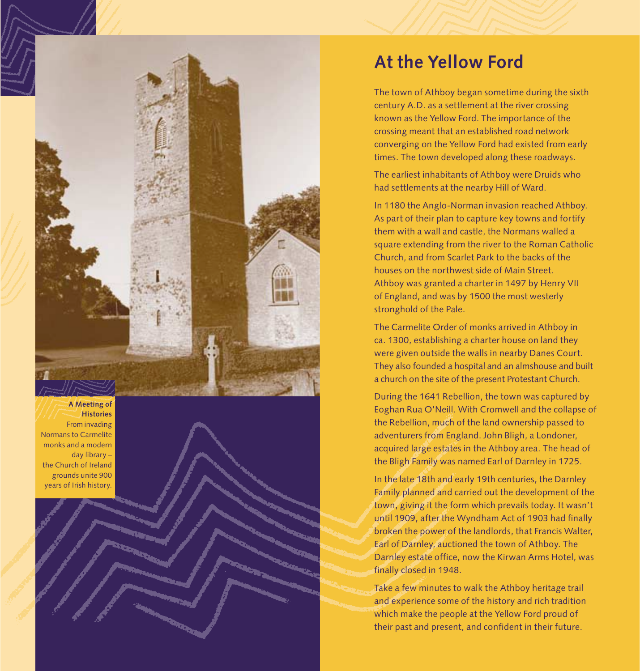

**A Meeting of Histories**

From invading Normans to Carmelite monks and a modern day library – the Church of Ireland grounds unite 900 years of Irish history.

# **At the Yellow Ford**

The town of Athboy began sometime during the sixth century A.D. as a settlement at the river crossing known as the Yellow Ford. The importance of the crossing meant that an established road network converging on the Yellow Ford had existed from early times. The town developed along these roadways.

The earliest inhabitants of Athboy were Druids who had settlements at the nearby Hill of Ward.

In 1180 the Anglo-Norman invasion reached Athboy. As part of their plan to capture key towns and fortify them with a wall and castle, the Normans walled a square extending from the river to the Roman Catholic Church, and from Scarlet Park to the backs of the houses on the northwest side of Main Street. Athboy was granted a charter in 1497 by Henry VII of England, and was by 1500 the most westerly stronghold of the Pale.

The Carmelite Order of monks arrived in Athboy in ca. 1300, establishing a charter house on land they were given outside the walls in nearby Danes Court. They also founded a hospital and an almshouse and built a church on the site of the present Protestant Church.

During the 1641 Rebellion, the town was captured by Eoghan Rua O'Neill. With Cromwell and the collapse of the Rebellion, much of the land ownership passed to adventurers from England. John Bligh, a Londoner, acquired large estates in the Athboy area. The head of the Bligh Family was named Earl of Darnley in 1725.

In the late 18th and early 19th centuries, the Darnley Family planned and carried out the development of the town, giving it the form which prevails today. It wasn't until 1909, after the Wyndham Act of 1903 had finally broken the power of the landlords, that Francis Walter, Earl of Darnley, auctioned the town of Athboy. The Darnley estate office, now the Kirwan Arms Hotel, was finally closed in 1948.

Take a few minutes to walk the Athboy heritage trail and experience some of the history and rich tradition which make the people at the Yellow Ford proud of their past and present, and confident in their future.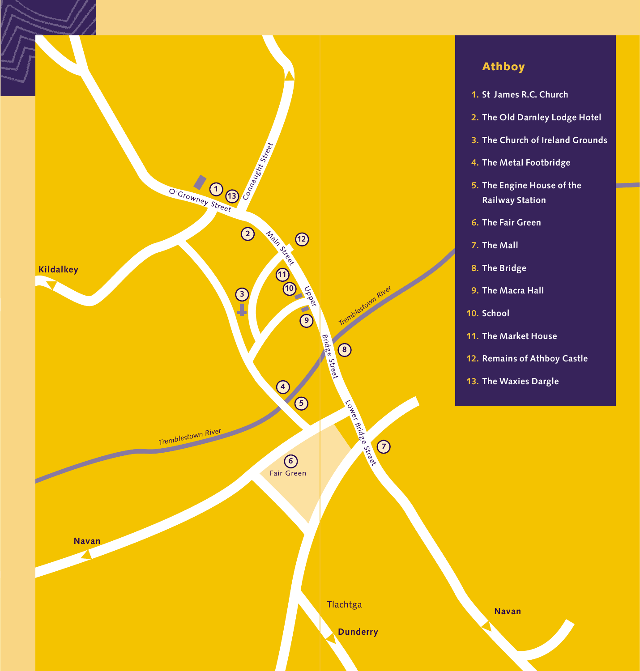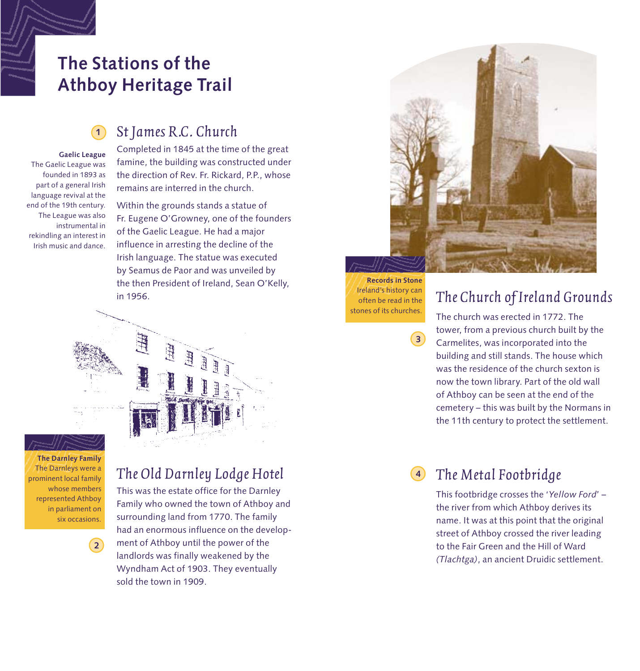# **The Stations of the Athboy Heritage Trail**

# *St James R.C. Church*

**1**

**Gaelic League** The Gaelic League was founded in 1893 as part of a general Irish language revival at the end of the 19th century. The League was also instrumental in rekindling an interest in Irish music and dance.

Completed in 1845 at the time of the great famine, the building was constructed under the direction of Rev. Fr. Rickard, P.P., whose remains are interred in the church.

Within the grounds stands a statue of Fr. Eugene O'Growney, one of the founders of the Gaelic League. He had a major influence in arresting the decline of the Irish language. The statue was executed by Seamus de Paor and was unveiled by the then President of Ireland, Sean O'Kelly, in 1956.



**The Darnley Family** The Darnleys were a prominent local family whose members represented Athboy in parliament on six occasions.

**2**

# *The Old Darnley Lodge Hotel*

This was the estate office for the Darnley Family who owned the town of Athboy and surrounding land from 1770. The family had an enormous influence on the development of Athboy until the power of the landlords was finally weakened by the Wyndham Act of 1903. They eventually sold the town in 1909.



**Records in Stone** Ireland's history can often be read in the stones of its churches.

**3**

## *The Church of Ireland Grounds*

The church was erected in 1772. The tower, from a previous church built by the Carmelites, was incorporated into the building and still stands. The house which was the residence of the church sexton is now the town library. Part of the old wall of Athboy can be seen at the end of the cemetery – this was built by the Normans in the 11th century to protect the settlement.

#### *The Metal Footbridge* **4**

This footbridge crosses the '*Yellow Ford*' – the river from which Athboy derives its name. It was at this point that the original street of Athboy crossed the river leading to the Fair Green and the Hill of Ward *(Tlachtga)*, an ancient Druidic settlement.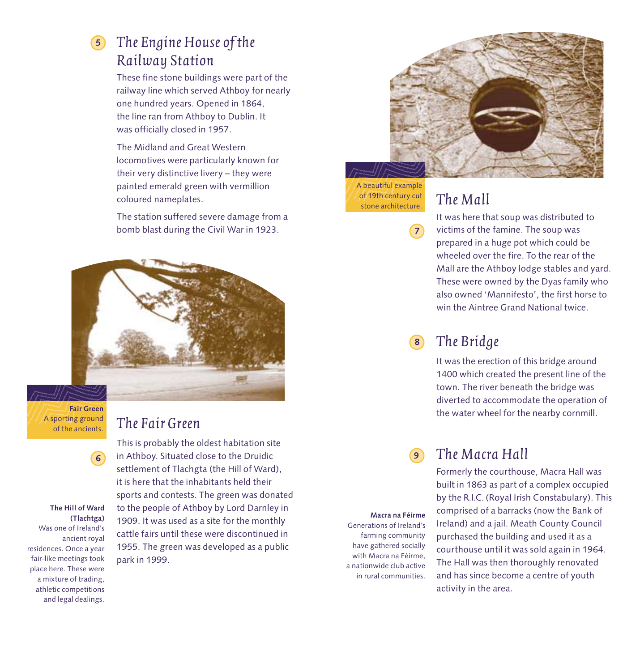# *The Engine House of the* **5** *Railway Station*

These fine stone buildings were part of the railway line which served Athboy for nearly one hundred years. Opened in 1864, the line ran from Athboy to Dublin. It was officially closed in 1957.

The Midland and Great Western locomotives were particularly known for their very distinctive livery – they were painted emerald green with vermillion coloured nameplates.

The station suffered severe damage from a bomb blast during the Civil War in 1923.



**Fair Green** A sporting ground of the ancients.

### *The Fair Green*

This is probably the oldest habitation site in Athboy. Situated close to the Druidic settlement of Tlachgta (the Hill of Ward), it is here that the inhabitants held their sports and contests. The green was donated to the people of Athboy by Lord Darnley in 1909. It was used as a site for the monthly cattle fairs until these were discontinued in 1955. The green was developed as a public park in 1999.



A beautiful example of 19th century cut stone architecture.

**7**

# *The Mall*

It was here that soup was distributed to victims of the famine. The soup was prepared in a huge pot which could be wheeled over the fire. To the rear of the Mall are the Athboy lodge stables and yard. These were owned by the Dyas family who also owned 'Mannifesto', the first horse to win the Aintree Grand National twice.

#### *The Bridge* **8**

It was the erection of this bridge around 1400 which created the present line of the town. The river beneath the bridge was diverted to accommodate the operation of the water wheel for the nearby cornmill.

#### *The Macra Hall* **9**

Formerly the courthouse, Macra Hall was built in 1863 as part of a complex occupied by the R.I.C. (Royal Irish Constabulary). This comprised of a barracks (now the Bank of Ireland) and a jail. Meath County Council purchased the building and used it as a courthouse until it was sold again in 1964. The Hall was then thoroughly renovated and has since become a centre of youth activity in the area.

**Macra na Féirme** Generations of Ireland's farming community have gathered socially with Macra na Féirme, a nationwide club active in rural communities.

#### **The Hill of Ward (Tlachtga)**

**6**

Was one of Ireland's ancient royal residences. Once a year fair-like meetings took place here. These were a mixture of trading, athletic competitions and legal dealings.